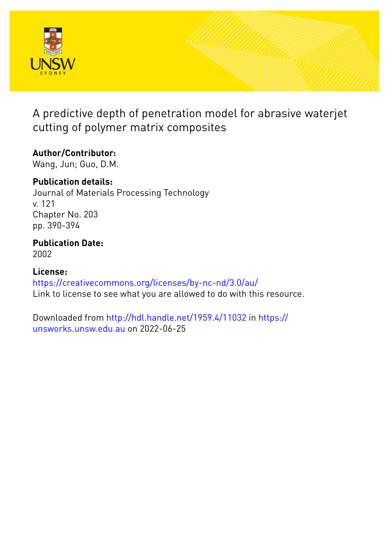

A predictive depth of penetration model for abrasive waterjet cutting of polymer matrix composites

# **Author/Contributor:**

Wang, Jun; Guo, D.M.

## **Publication details:**

Journal of Materials Processing Technology v. 121 Chapter No. 203 pp. 390-394

## **Publication Date:** 2002

# **License:**

<https://creativecommons.org/licenses/by-nc-nd/3.0/au/> Link to license to see what you are allowed to do with this resource.

Downloaded from <http://hdl.handle.net/1959.4/11032> in [https://](https://unsworks.unsw.edu.au) [unsworks.unsw.edu.au](https://unsworks.unsw.edu.au) on 2022-06-25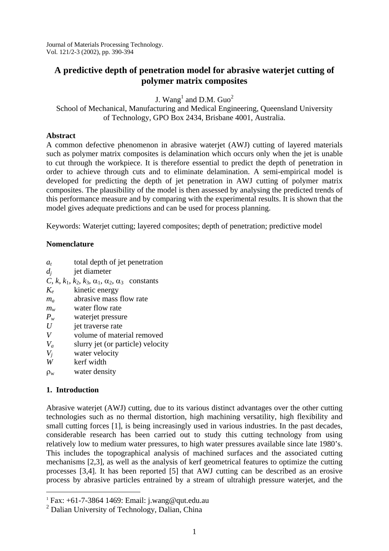Journal of Materials Processing Technology. Vol. 121/2-3 (2002), pp. 390-394

## **A predictive depth of penetration model for abrasive waterjet cutting of polymer matrix composites**

J. Wang<sup>1</sup> and D.M. Guo<sup>2</sup>

School of Mechanical, Manufacturing and Medical Engineering, Queensland University of Technology, GPO Box 2434, Brisbane 4001, Australia.

#### **Abstract**

A common defective phenomenon in abrasive waterjet (AWJ) cutting of layered materials such as polymer matrix composites is delamination which occurs only when the jet is unable to cut through the workpiece. It is therefore essential to predict the depth of penetration in order to achieve through cuts and to eliminate delamination. A semi-empirical model is developed for predicting the depth of jet penetration in AWJ cutting of polymer matrix composites. The plausibility of the model is then assessed by analysing the predicted trends of this performance measure and by comparing with the experimental results. It is shown that the model gives adequate predictions and can be used for process planning.

Keywords: Waterjet cutting; layered composites; depth of penetration; predictive model

## **Nomenclature**

- *at* total depth of jet penetration
- *dj* jet diameter
- *C*,  $k$ ,  $k_1$ ,  $k_2$ ,  $k_3$ ,  $\alpha_1$ ,  $\alpha_2$ ,  $\alpha_3$  constants
- *Ke* kinetic energy
- *ma* abrasive mass flow rate
- *mw* water flow rate
- *Pw* waterjet pressure
- *U* jet traverse rate
- *V* volume of material removed
- *Va* slurry jet (or particle) velocity
- *Vj* water velocity
- *W* kerf width
- $\rho_w$  water density

## **1. Introduction**

1

Abrasive waterjet (AWJ) cutting, due to its various distinct advantages over the other cutting technologies such as no thermal distortion, high machining versatility, high flexibility and small cutting forces [1], is being increasingly used in various industries. In the past decades, considerable research has been carried out to study this cutting technology from using relatively low to medium water pressures, to high water pressures available since late 1980's. This includes the topographical analysis of machined surfaces and the associated cutting mechanisms [2,3], as well as the analysis of kerf geometrical features to optimize the cutting processes [3,4]. It has been reported [5] that AWJ cutting can be described as an erosive process by abrasive particles entrained by a stream of ultrahigh pressure waterjet, and the

<sup>1</sup> Fax: +61-7-3864 1469: Email: j.wang@qut.edu.au

<sup>&</sup>lt;sup>2</sup> Dalian University of Technology, Dalian, China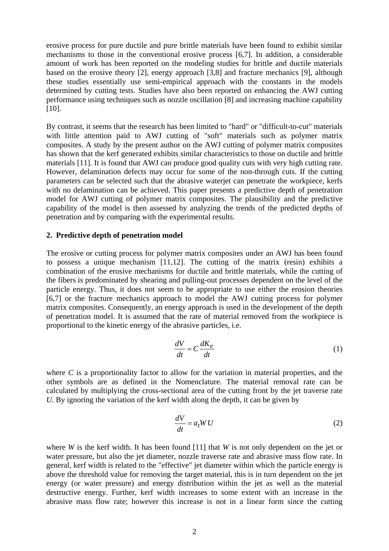erosive process for pure ductile and pure brittle materials have been found to exhibit similar mechanisms to those in the conventional erosive process [6,7]. In addition, a considerable amount of work has been reported on the modeling studies for brittle and ductile materials based on the erosive theory [2], energy approach [3,8] and fracture mechanics [9], although these studies essentially use semi-empirical approach with the constants in the models determined by cutting tests. Studies have also been reported on enhancing the AWJ cutting performance using techniques such as nozzle oscillation [8] and increasing machine capability [10].

By contrast, it seems that the research has been limited to "hard" or "difficult-to-cut" materials with little attention paid to AWJ cutting of "soft" materials such as polymer matrix composites. A study by the present author on the AWJ cutting of polymer matrix composites has shown that the kerf generated exhibits similar characteristics to those on ductile and brittle materials [11]. It is found that AWJ can produce good quality cuts with very high cutting rate. However, delamination defects may occur for some of the non-through cuts. If the cutting parameters can be selected such that the abrasive waterjet can penetrate the workpiece, kerfs with no delamination can be achieved. This paper presents a predictive depth of penetration model for AWJ cutting of polymer matrix composites. The plausibility and the predictive capability of the model is then assessed by analyzing the trends of the predicted depths of penetration and by comparing with the experimental results.

#### **2. Predictive depth of penetration model**

The erosive or cutting process for polymer matrix composites under an AWJ has been found to possess a unique mechanism [11,12]. The cutting of the matrix (resin) exhibits a combination of the erosive mechanisms for ductile and brittle materials, while the cutting of the fibers is predominated by shearing and pulling-out processes dependent on the level of the particle energy. Thus, it does not seem to be appropriate to use either the erosion theories [6,7] or the fracture mechanics approach to model the AWJ cutting process for polymer matrix composites. Consequently, an energy approach is used in the development of the depth of penetration model. It is assumed that the rate of material removed from the workpiece is proportional to the kinetic energy of the abrasive particles, i.e.

$$
\frac{dV}{dt} = C \frac{dK_e}{dt} \tag{1}
$$

where *C* is a proportionality factor to allow for the variation in material properties, and the other symbols are as defined in the Nomenclature. The material removal rate can be calculated by multiplying the cross-sectional area of the cutting front by the jet traverse rate *U*. By ignoring the variation of the kerf width along the depth, it can be given by

$$
\frac{dV}{dt} = a_t W U \tag{2}
$$

where *W* is the kerf width. It has been found [11] that *W* is not only dependent on the jet or water pressure, but also the jet diameter, nozzle traverse rate and abrasive mass flow rate. In general, kerf width is related to the "effective" jet diameter within which the particle energy is above the threshold value for removing the target material, this is in turn dependent on the jet energy (or water pressure) and energy distribution within the jet as well as the material destructive energy. Further, kerf width increases to some extent with an increase in the abrasive mass flow rate; however this increase is not in a linear form since the cutting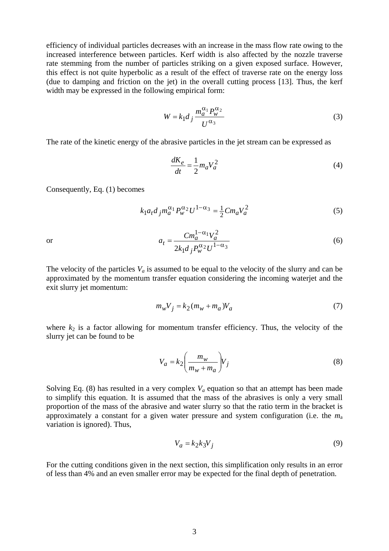efficiency of individual particles decreases with an increase in the mass flow rate owing to the increased interference between particles. Kerf width is also affected by the nozzle traverse rate stemming from the number of particles striking on a given exposed surface. However, this effect is not quite hyperbolic as a result of the effect of traverse rate on the energy loss (due to damping and friction on the jet) in the overall cutting process [13]. Thus, the kerf width may be expressed in the following empirical form:

$$
W = k_1 d_j \frac{m_a^{\alpha_1} P_w^{\alpha_2}}{U^{\alpha_3}}
$$
 (3)

The rate of the kinetic energy of the abrasive particles in the jet stream can be expressed as

$$
\frac{dK_e}{dt} = \frac{1}{2} m_a V_a^2 \tag{4}
$$

Consequently, Eq. (1) becomes

$$
k_1 a_t d_j m_a^{\alpha_1} P_w^{\alpha_2} U^{1-\alpha_3} = \frac{1}{2} C m_a V_a^2
$$
 (5)

or

$$
a_{t} = \frac{Cm_{a}^{1-\alpha_{1}}V_{a}^{2}}{2k_{1}d_{j}P_{w}^{\alpha_{2}}U^{1-\alpha_{3}}}
$$
\n(6)

The velocity of the particles  $V_a$  is assumed to be equal to the velocity of the slurry and can be approximated by the momentum transfer equation considering the incoming waterjet and the exit slurry jet momentum:

$$
m_w V_j = k_2 (m_w + m_a) V_a \tag{7}
$$

where  $k_2$  is a factor allowing for momentum transfer efficiency. Thus, the velocity of the slurry jet can be found to be

$$
V_a = k_2 \left(\frac{m_w}{m_w + m_a}\right) V_j \tag{8}
$$

Solving Eq. (8) has resulted in a very complex  $V_a$  equation so that an attempt has been made to simplify this equation. It is assumed that the mass of the abrasives is only a very small proportion of the mass of the abrasive and water slurry so that the ratio term in the bracket is approximately a constant for a given water pressure and system configuration (i.e. the *m*<sup>a</sup> variation is ignored). Thus,

$$
V_a = k_2 k_3 V_j \tag{9}
$$

For the cutting conditions given in the next section, this simplification only results in an error of less than 4% and an even smaller error may be expected for the final depth of penetration.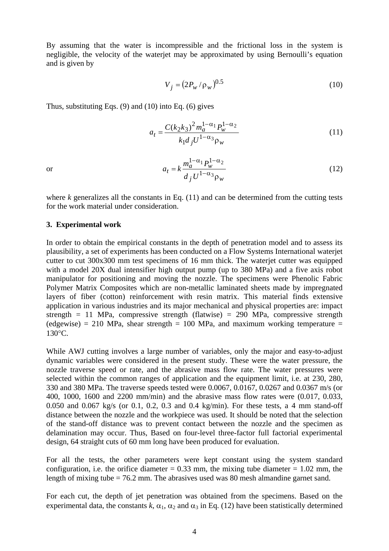By assuming that the water is incompressible and the frictional loss in the system is negligible, the velocity of the waterjet may be approximated by using Bernoulli's equation and is given by

$$
V_j = (2P_w / \rho_w)^{0.5}
$$
 (10)

Thus, substituting Eqs.  $(9)$  and  $(10)$  into Eq.  $(6)$  gives

$$
a_{t} = \frac{C(k_{2}k_{3})^{2}m_{a}^{1-\alpha_{1}}P_{w}^{1-\alpha_{2}}}{k_{1}d_{j}U^{1-\alpha_{3}}\rho_{w}}
$$
\n(11)

$$
\quad \text{or} \quad
$$

$$
a_{t} = k \frac{m_{a}^{1-\alpha_{1}} P_{w}^{1-\alpha_{2}}}{d_{j} U^{1-\alpha_{3}} \rho_{w}}
$$
\n(12)

where  $k$  generalizes all the constants in Eq.  $(11)$  and can be determined from the cutting tests for the work material under consideration.

#### **3. Experimental work**

In order to obtain the empirical constants in the depth of penetration model and to assess its plausibility, a set of experiments has been conducted on a Flow Systems International waterjet cutter to cut 300x300 mm test specimens of 16 mm thick. The waterjet cutter was equipped with a model 20X dual intensifier high output pump (up to 380 MPa) and a five axis robot manipulator for positioning and moving the nozzle. The specimens were Phenolic Fabric Polymer Matrix Composites which are non-metallic laminated sheets made by impregnated layers of fiber (cotton) reinforcement with resin matrix. This material finds extensive application in various industries and its major mechanical and physical properties are: impact strength = 11 MPa, compressive strength (flatwise) = 290 MPa, compressive strength (edgewise) = 210 MPa, shear strength = 100 MPa, and maximum working temperature = 130°C.

While AWJ cutting involves a large number of variables, only the major and easy-to-adjust dynamic variables were considered in the present study. These were the water pressure, the nozzle traverse speed or rate, and the abrasive mass flow rate. The water pressures were selected within the common ranges of application and the equipment limit, i.e. at 230, 280, 330 and 380 MPa. The traverse speeds tested were 0.0067, 0.0167, 0.0267 and 0.0367 m/s (or 400, 1000, 1600 and 2200 mm/min) and the abrasive mass flow rates were (0.017, 0.033, 0.050 and 0.067 kg/s (or 0.1, 0.2, 0.3 and 0.4 kg/min). For these tests, a 4 mm stand-off distance between the nozzle and the workpiece was used. It should be noted that the selection of the stand-off distance was to prevent contact between the nozzle and the specimen as delamination may occur. Thus, Based on four-level three-factor full factorial experimental design, 64 straight cuts of 60 mm long have been produced for evaluation.

For all the tests, the other parameters were kept constant using the system standard configuration, i.e. the orifice diameter  $= 0.33$  mm, the mixing tube diameter  $= 1.02$  mm, the length of mixing tube = 76.2 mm. The abrasives used was 80 mesh almandine garnet sand.

For each cut, the depth of jet penetration was obtained from the specimens. Based on the experimental data, the constants  $k$ ,  $\alpha_1$ ,  $\alpha_2$  and  $\alpha_3$  in Eq. (12) have been statistically determined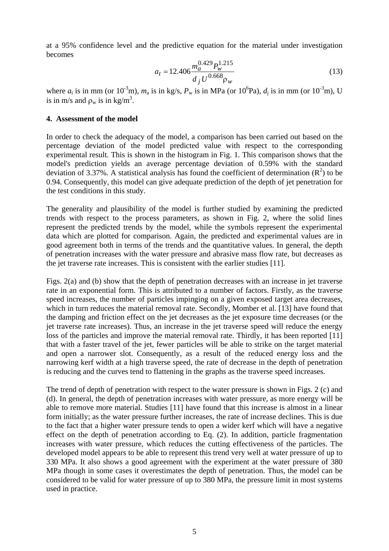at a 95% confidence level and the predictive equation for the material under investigation becomes

$$
a_t = 12.406 \frac{m_a^{0.429} P_w^{1.215}}{d_j U^{0.668} \rho_w}
$$
 (13)

where  $a_t$  is in mm (or 10<sup>-3</sup>m),  $m_a$  is in kg/s,  $P_w$  is in MPa (or 10<sup>6</sup>Pa),  $d_j$  is in mm (or 10<sup>-3</sup>m), U is in m/s and  $\rho_w$  is in kg/m<sup>3</sup>.

#### **4. Assessment of the model**

In order to check the adequacy of the model, a comparison has been carried out based on the percentage deviation of the model predicted value with respect to the corresponding experimental result. This is shown in the histogram in Fig. 1. This comparison shows that the model's prediction yields an average percentage deviation of 0.59% with the standard deviation of 3.37%. A statistical analysis has found the coefficient of determination  $(R^2)$  to be 0.94. Consequently, this model can give adequate prediction of the depth of jet penetration for the test conditions in this study.

The generality and plausibility of the model is further studied by examining the predicted trends with respect to the process parameters, as shown in Fig. 2, where the solid lines represent the predicted trends by the model, while the symbols represent the experimental data which are plotted for comparison. Again, the predicted and experimental values are in good agreement both in terms of the trends and the quantitative values. In general, the depth of penetration increases with the water pressure and abrasive mass flow rate, but decreases as the jet traverse rate increases. This is consistent with the earlier studies [11].

Figs. 2(a) and (b) show that the depth of penetration decreases with an increase in jet traverse rate in an exponential form. This is attributed to a number of factors. Firstly, as the traverse speed increases, the number of particles impinging on a given exposed target area decreases, which in turn reduces the material removal rate. Secondly, Momber et al. [13] have found that the damping and friction effect on the jet decreases as the jet exposure time decreases (or the jet traverse rate increases). Thus, an increase in the jet traverse speed will reduce the energy loss of the particles and improve the material removal rate. Thirdly, it has been reported [11] that with a faster travel of the jet, fewer particles will be able to strike on the target material and open a narrower slot. Consequently, as a result of the reduced energy loss and the narrowing kerf width at a high traverse speed, the rate of decrease in the depth of penetration is reducing and the curves tend to flattening in the graphs as the traverse speed increases.

The trend of depth of penetration with respect to the water pressure is shown in Figs. 2 (c) and (d). In general, the depth of penetration increases with water pressure, as more energy will be able to remove more material. Studies [11] have found that this increase is almost in a linear form initially; as the water pressure further increases, the rate of increase declines. This is due to the fact that a higher water pressure tends to open a wider kerf which will have a negative effect on the depth of penetration according to Eq. (2). In addition, particle fragmentation increases with water pressure, which reduces the cutting effectiveness of the particles. The developed model appears to be able to represent this trend very well at water pressure of up to 330 MPa. It also shows a good agreement with the experiment at the water pressure of 380 MPa though in some cases it overestimates the depth of penetration. Thus, the model can be considered to be valid for water pressure of up to 380 MPa, the pressure limit in most systems used in practice.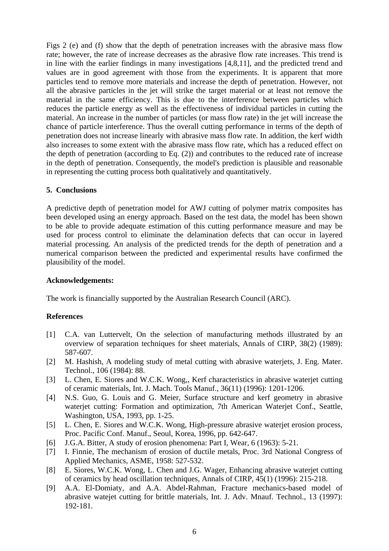Figs 2 (e) and (f) show that the depth of penetration increases with the abrasive mass flow rate; however, the rate of increase decreases as the abrasive flow rate increases. This trend is in line with the earlier findings in many investigations [4,8,11], and the predicted trend and values are in good agreement with those from the experiments. It is apparent that more particles tend to remove more materials and increase the depth of penetration. However, not all the abrasive particles in the jet will strike the target material or at least not remove the material in the same efficiency. This is due to the interference between particles which reduces the particle energy as well as the effectiveness of individual particles in cutting the material. An increase in the number of particles (or mass flow rate) in the jet will increase the chance of particle interference. Thus the overall cutting performance in terms of the depth of penetration does not increase linearly with abrasive mass flow rate. In addition, the kerf width also increases to some extent with the abrasive mass flow rate, which has a reduced effect on the depth of penetration (according to Eq. (2)) and contributes to the reduced rate of increase in the depth of penetration. Consequently, the model's prediction is plausible and reasonable in representing the cutting process both qualitatively and quantitatively.

### **5. Conclusions**

A predictive depth of penetration model for AWJ cutting of polymer matrix composites has been developed using an energy approach. Based on the test data, the model has been shown to be able to provide adequate estimation of this cutting performance measure and may be used for process control to eliminate the delamination defects that can occur in layered material processing. An analysis of the predicted trends for the depth of penetration and a numerical comparison between the predicted and experimental results have confirmed the plausibility of the model.

#### **Acknowledgements:**

The work is financially supported by the Australian Research Council (ARC).

## **References**

- [1] C.A. van Luttervelt, On the selection of manufacturing methods illustrated by an overview of separation techniques for sheet materials, Annals of CIRP, 38(2) (1989): 587-607.
- [2] M. Hashish, A modeling study of metal cutting with abrasive waterjets, J. Eng. Mater. Technol., 106 (1984): 88.
- [3] L. Chen, E. Siores and W.C.K. Wong,, Kerf characteristics in abrasive waterjet cutting of ceramic materials, Int. J. Mach. Tools Manuf., 36(11) (1996): 1201-1206.
- [4] N.S. Guo, G. Louis and G. Meier, Surface structure and kerf geometry in abrasive waterjet cutting: Formation and optimization, 7th American Waterjet Conf., Seattle, Washington, USA, 1993, pp. 1-25.
- [5] L. Chen, E. Siores and W.C.K. Wong, High-pressure abrasive waterjet erosion process, Proc. Pacific Conf. Manuf., Seoul, Korea, 1996, pp. 642-647.
- [6] J.G.A. Bitter, A study of erosion phenomena: Part I, Wear, 6 (1963): 5-21.
- [7] I. Finnie, The mechanism of erosion of ductile metals, Proc. 3rd National Congress of Applied Mechanics, ASME, 1958: 527-532.
- [8] E. Siores, W.C.K. Wong, L. Chen and J.G. Wager, Enhancing abrasive waterjet cutting of ceramics by head oscillation techniques, Annals of CIRP, 45(1) (1996): 215-218.
- [9] A.A. El-Domiaty, and A.A. Abdel-Rahman, Fracture mechanics-based model of abrasive watejet cutting for brittle materials, Int. J. Adv. Mnauf. Technol., 13 (1997): 192-181.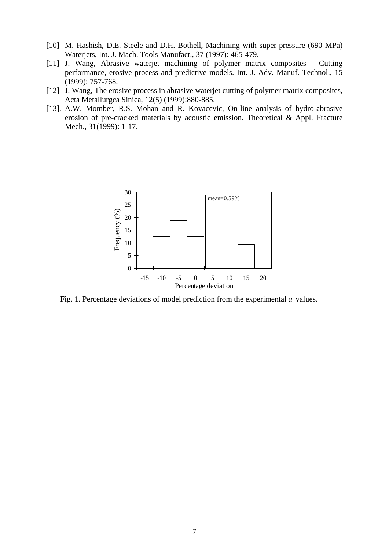- [10] M. Hashish, D.E. Steele and D.H. Bothell, Machining with super-pressure (690 MPa) Waterjets, Int. J. Mach. Tools Manufact., 37 (1997): 465-479.
- [11] J. Wang, Abrasive waterjet machining of polymer matrix composites Cutting performance, erosive process and predictive models. Int. J. Adv. Manuf. Technol., 15 (1999): 757-768.
- [12] J. Wang, The erosive process in abrasive waterjet cutting of polymer matrix composites, Acta Metallurgca Sinica, 12(5) (1999):880-885.
- [13]. A.W. Momber, R.S. Mohan and R. Kovacevic, On-line analysis of hydro-abrasive erosion of pre-cracked materials by acoustic emission. Theoretical & Appl. Fracture Mech., 31(1999): 1-17.



Fig. 1. Percentage deviations of model prediction from the experimental  $a_t$  values.